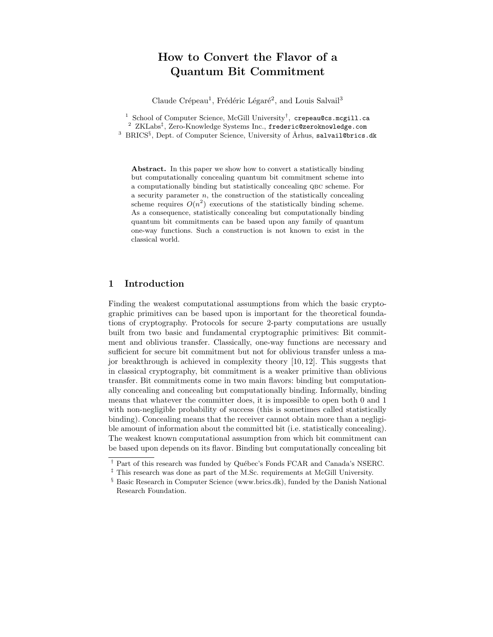# How to Convert the Flavor of a Quantum Bit Commitment

Claude Crépeau<sup>1</sup>, Frédéric Légaré<sup>2</sup>, and Louis Salvail<sup>3</sup>

 $^1$  School of Computer Science, McGill University<sup>†</sup>, crepeau@cs.mcgill.ca

 $^2$  ZKLabs $^\ddag,$  Zero-Knowledge Systems Inc., frederic@zeroknowledge.com

 $3$  BRICS<sup>§</sup>, Dept. of Computer Science, University of Århus, salvail@brics.dk

Abstract. In this paper we show how to convert a statistically binding but computationally concealing quantum bit commitment scheme into a computationally binding but statistically concealing qbc scheme. For a security parameter  $n$ , the construction of the statistically concealing scheme requires  $O(n^2)$  executions of the statistically binding scheme. As a consequence, statistically concealing but computationally binding quantum bit commitments can be based upon any family of quantum one-way functions. Such a construction is not known to exist in the classical world.

### 1 Introduction

Finding the weakest computational assumptions from which the basic cryptographic primitives can be based upon is important for the theoretical foundations of cryptography. Protocols for secure 2-party computations are usually built from two basic and fundamental cryptographic primitives: Bit commitment and oblivious transfer. Classically, one-way functions are necessary and sufficient for secure bit commitment but not for oblivious transfer unless a major breakthrough is achieved in complexity theory [10, 12]. This suggests that in classical cryptography, bit commitment is a weaker primitive than oblivious transfer. Bit commitments come in two main flavors: binding but computationally concealing and concealing but computationally binding. Informally, binding means that whatever the committer does, it is impossible to open both 0 and 1 with non-negligible probability of success (this is sometimes called statistically binding). Concealing means that the receiver cannot obtain more than a negligible amount of information about the committed bit (i.e. statistically concealing). The weakest known computational assumption from which bit commitment can be based upon depends on its flavor. Binding but computationally concealing bit

 $^\dagger$  Part of this research was funded by Québec's Fonds FCAR and Canada's NSERC.

<sup>‡</sup> This research was done as part of the M.Sc. requirements at McGill University.

<sup>§</sup> Basic Research in Computer Science (www.brics.dk), funded by the Danish National Research Foundation.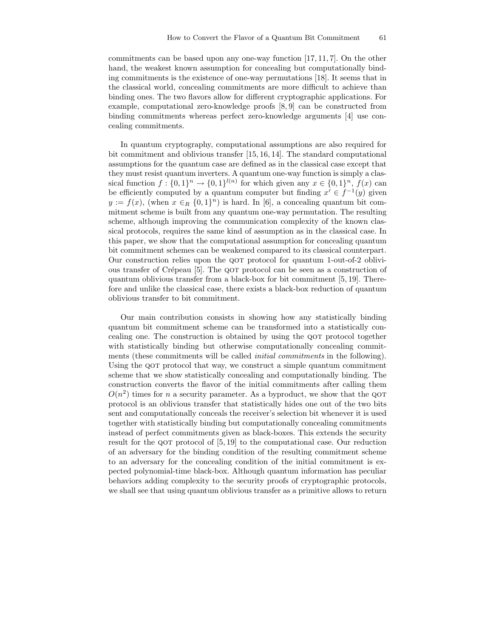commitments can be based upon any one-way function [17, 11, 7]. On the other hand, the weakest known assumption for concealing but computationally binding commitments is the existence of one-way permutations [18]. It seems that in the classical world, concealing commitments are more difficult to achieve than binding ones. The two flavors allow for different cryptographic applications. For example, computational zero-knowledge proofs [8, 9] can be constructed from binding commitments whereas perfect zero-knowledge arguments [4] use concealing commitments.

In quantum cryptography, computational assumptions are also required for bit commitment and oblivious transfer [15, 16, 14]. The standard computational assumptions for the quantum case are defined as in the classical case except that they must resist quantum inverters. A quantum one-way function is simply a classical function  $f: \{0,1\}^n \to \{0,1\}^{l(n)}$  for which given any  $x \in \{0,1\}^n$ ,  $f(x)$  can be efficiently computed by a quantum computer but finding  $x' \in f^{-1}(y)$  given  $y := f(x)$ , (when  $x \in_R \{0,1\}^n$ ) is hard. In [6], a concealing quantum bit commitment scheme is built from any quantum one-way permutation. The resulting scheme, although improving the communication complexity of the known classical protocols, requires the same kind of assumption as in the classical case. In this paper, we show that the computational assumption for concealing quantum bit commitment schemes can be weakened compared to its classical counterpart. Our construction relies upon the QOT protocol for quantum 1-out-of-2 oblivious transfer of Crépeau [5]. The QOT protocol can be seen as a construction of quantum oblivious transfer from a black-box for bit commitment [5, 19]. Therefore and unlike the classical case, there exists a black-box reduction of quantum oblivious transfer to bit commitment.

Our main contribution consists in showing how any statistically binding quantum bit commitment scheme can be transformed into a statistically concealing one. The construction is obtained by using the QOT protocol together with statistically binding but otherwise computationally concealing commitments (these commitments will be called initial commitments in the following). Using the QOT protocol that way, we construct a simple quantum commitment scheme that we show statistically concealing and computationally binding. The construction converts the flavor of the initial commitments after calling them  $O(n^2)$  times for n a security parameter. As a byproduct, we show that the QOT protocol is an oblivious transfer that statistically hides one out of the two bits sent and computationally conceals the receiver's selection bit whenever it is used together with statistically binding but computationally concealing commitments instead of perfect commitments given as black-boxes. This extends the security result for the QOT protocol of  $[5, 19]$  to the computational case. Our reduction of an adversary for the binding condition of the resulting commitment scheme to an adversary for the concealing condition of the initial commitment is expected polynomial-time black-box. Although quantum information has peculiar behaviors adding complexity to the security proofs of cryptographic protocols, we shall see that using quantum oblivious transfer as a primitive allows to return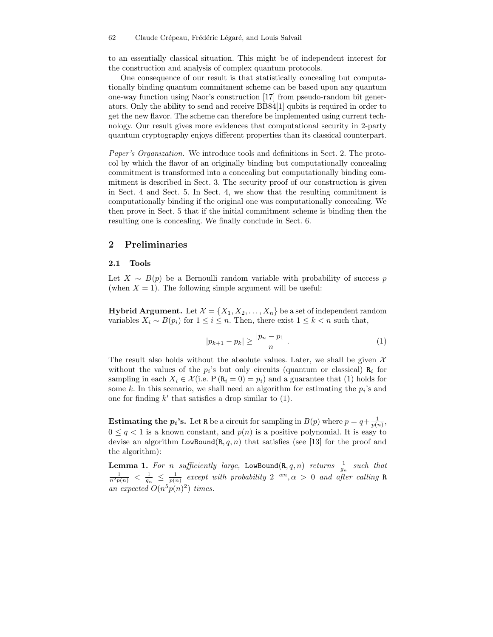to an essentially classical situation. This might be of independent interest for the construction and analysis of complex quantum protocols.

One consequence of our result is that statistically concealing but computationally binding quantum commitment scheme can be based upon any quantum one-way function using Naor's construction [17] from pseudo-random bit generators. Only the ability to send and receive BB84[1] qubits is required in order to get the new flavor. The scheme can therefore be implemented using current technology. Our result gives more evidences that computational security in 2-party quantum cryptography enjoys different properties than its classical counterpart.

Paper's Organization. We introduce tools and definitions in Sect. 2. The protocol by which the flavor of an originally binding but computationally concealing commitment is transformed into a concealing but computationally binding commitment is described in Sect. 3. The security proof of our construction is given in Sect. 4 and Sect. 5. In Sect. 4, we show that the resulting commitment is computationally binding if the original one was computationally concealing. We then prove in Sect. 5 that if the initial commitment scheme is binding then the resulting one is concealing. We finally conclude in Sect. 6.

### 2 Preliminaries

#### 2.1 Tools

Let  $X \sim B(p)$  be a Bernoulli random variable with probability of success p (when  $X = 1$ ). The following simple argument will be useful:

**Hybrid Argument.** Let  $\mathcal{X} = \{X_1, X_2, \ldots, X_n\}$  be a set of independent random variables  $X_i \sim B(p_i)$  for  $1 \leq i \leq n$ . Then, there exist  $1 \leq k < n$  such that,

$$
|p_{k+1} - p_k| \ge \frac{|p_n - p_1|}{n}.\tag{1}
$$

The result also holds without the absolute values. Later, we shall be given  $\mathcal{X}$ without the values of the  $p_i$ 's but only circuits (quantum or classical)  $R_i$  for sampling in each  $X_i \in \mathcal{X}$  (i.e.  $P(R_i = 0) = p_i$ ) and a guarantee that (1) holds for some  $k$ . In this scenario, we shall need an algorithm for estimating the  $p_i$ 's and one for finding  $k'$  that satisfies a drop similar to  $(1)$ .

**Estimating the**  $p_i$ **'s.** Let R be a circuit for sampling in  $B(p)$  where  $p = q + \frac{1}{p(n)}$ ,  $0 \leq q < 1$  is a known constant, and  $p(n)$  is a positive polynomial. It is easy to devise an algorithm LowBound(R, q, n) that satisfies (see [13] for the proof and the algorithm):

**Lemma 1.** For n sufficiently large, LowBound(R, q, n) returns  $\frac{1}{g_n}$  such that  $\frac{1}{n^2p(n)} < \frac{1}{g_n} \leq \frac{1}{p(n)}$  except with probability  $2^{-\alpha n}, \alpha > 0$  and after calling R an expected  $O(n^5p(n)^2)$  times.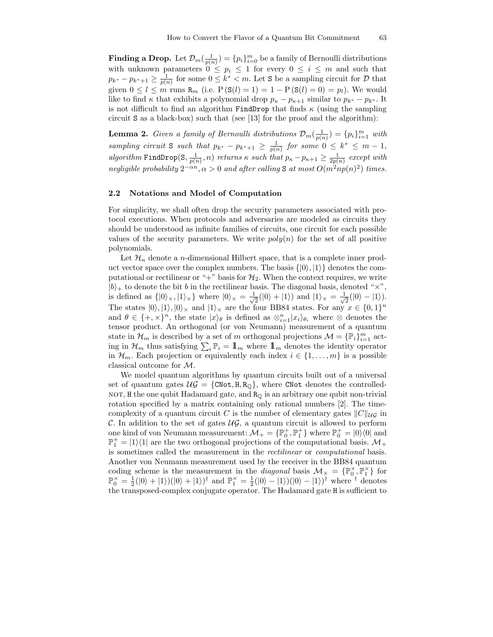**Finding a Drop.** Let  $\mathcal{D}_m(\frac{1}{p(n)}) = \{p_i\}_{i=0}^m$  be a family of Bernoulli distributions with unknown parameters  $0 \leq p_i \leq 1$  for every  $0 \leq i \leq m$  and such that  $p_{k^*} - p_{k^*+1} \geq \frac{1}{p(n)}$  for some  $0 \leq k^* < m$ . Let S be a sampling circuit for D that given  $0 \le l \le m$  runs  $\mathbb{R}_m$  (i.e.  $P(S(l) = 1) = 1 - P(S(l) = 0) = p_l$ ). We would like to find  $\kappa$  that exhibits a polynomial drop  $p_{\kappa} - p_{\kappa+1}$  similar to  $p_{k^*} - p_{k^*}$ . It is not difficult to find an algorithm FindDrop that finds  $\kappa$  (using the sampling circuit S as a black-box) such that (see [13] for the proof and the algorithm):

**Lemma 2.** Given a family of Bernoulli distributions  $\mathcal{D}_m(\frac{1}{p(n)}) = \{p_i\}_{i=1}^m$  with sampling circuit S such that  $p_{k^*} - p_{k^*+1} \geq \frac{1}{p(n)}$  for some  $0 \leq k^* \leq m-1$ , algorithm FindDrop(S,  $\frac{1}{p(n)}$ , n) returns κ such that  $p_{\kappa} - p_{\kappa+1} \geq \frac{1}{2p(n)}$  except with negligible probability  $2^{-\alpha n}$ ,  $\alpha > 0$  and after calling S at most  $O(m^2np(n)^2)$  times.

#### 2.2 Notations and Model of Computation

For simplicity, we shall often drop the security parameters associated with protocol executions. When protocols and adversaries are modeled as circuits they should be understood as infinite families of circuits, one circuit for each possible values of the security parameters. We write  $poly(n)$  for the set of all positive polynomials.

Let  $\mathcal{H}_n$  denote a *n*-dimensional Hilbert space, that is a complete inner product vector space over the complex numbers. The basis  $\{|0\rangle, |1\rangle\}$  denotes the computational or rectilinear or "+" basis for  $\mathcal{H}_2$ . When the context requires, we write  $|b\rangle_+$  to denote the bit b in the rectilinear basis. The diagonal basis, denoted " $\times$ ", is defined as  $\{|0\rangle_{\times}, |1\rangle_{\times}\}\$  where  $|0\rangle_{\times} = \frac{1}{\sqrt{2}}$  $\frac{1}{2}(|0\rangle + |1\rangle)$  and  $|1\rangle_{\times} = \frac{1}{\sqrt{2}}$  $\frac{1}{2}(|0\rangle - |1\rangle).$ The states  $|0\rangle, |1\rangle, |0\rangle$ , and  $|1\rangle$ , are the four BB84 states. For any  $x \in \{0, 1\}^n$ and  $\theta \in \{+, \times\}^n$ , the state  $|x\rangle_\theta$  is defined as  $\otimes_{i=1}^n |x_i\rangle_{\theta_i}$  where  $\otimes$  denotes the tensor product. An orthogonal (or von Neumann) measurement of a quantum state in  $\mathcal{H}_m$  is described by a set of m orthogonal projections  $\mathcal{M} = \{\mathbb{P}_i\}_{i=1}^m$  acting in  $\mathcal{H}_m$  thus satisfying  $\sum_i \mathbb{P}_i = \mathbb{1}_m$  where  $\mathbb{1}_m$  denotes the identity operator in  $\mathcal{H}_m$ . Each projection or equivalently each index  $i \in \{1, \ldots, m\}$  is a possible classical outcome for M.

We model quantum algorithms by quantum circuits built out of a universal set of quantum gates  $U\mathcal{G} = \{CNot, H, R_{\mathbb{Q}}\}\$ , where CNot denotes the controlled-NOT, H the one qubit Hadamard gate, and  $R<sub>0</sub>$  is an arbitrary one qubit non-trivial rotation specified by a matrix containing only rational numbers [2]. The timecomplexity of a quantum circuit C is the number of elementary gates  $||C||_{\mathcal{U}G}$  in C. In addition to the set of gates  $\mathcal{UG}$ , a quantum circuit is allowed to perform one kind of von Neumann measurement:  $\mathcal{M}_+ = \{ \mathbb{P}_0^+, \mathbb{P}_1^+ \}$  where  $\mathbb{P}_0^+ = |0\rangle\langle 0|$  and  $\mathbb{P}^+_1 = |1\rangle\langle 1|$  are the two orthogonal projections of the computational basis.  $\mathcal{M}_+$ is sometimes called the measurement in the rectilinear or computational basis. Another von Neumann measurement used by the receiver in the BB84 quantum coding scheme is the measurement in the *diagonal* basis  $\mathcal{M}_{\times} = \{ \mathbb{P}_0^{\times}, \mathbb{P}_1^{\times} \}$  for  $\mathbb{P}_0^{\times} = \frac{1}{2}(|0\rangle + |1\rangle)(|0\rangle + |1\rangle)^{\dagger}$  and  $\mathbb{P}_1^{\times} = \frac{1}{2}(|0\rangle - |1\rangle)(|0\rangle - |1\rangle)^{\dagger}$  where  $\dagger$  denotes the transposed-complex conjugate operator. The Hadamard gate H is sufficient to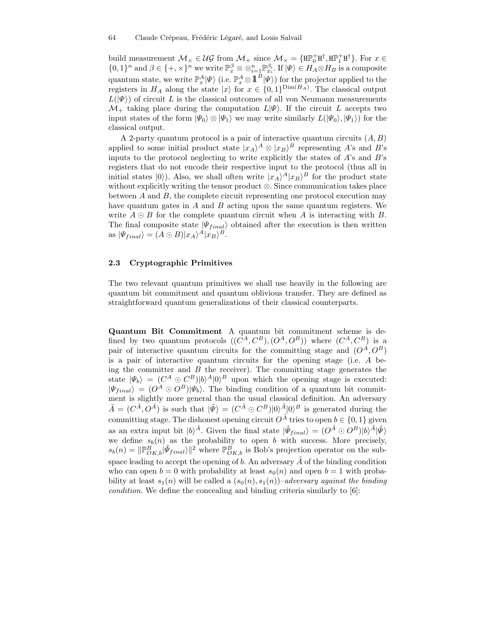build measurement  $M_{\times} \in \mathcal{UG}$  from  $\mathcal{M}_{+}$  since  $\mathcal{M}_{\times} = \{H\mathbb{P}_{0}^{+}H^{\dagger},H\mathbb{P}_{1}^{+}H^{\dagger}\}\.$  For  $x \in$  $\{0,1\}^n$  and  $\beta \in \{+, \times\}^n$  we write  $\mathbb{P}_{x}^{\beta} \equiv \otimes_{i=1}^n \mathbb{P}_{x_i}^{\beta_i}$ . If  $|\Psi\rangle \in H_A \otimes H_B$  is a composite quantum state, we write  $\mathbb{P}_x^A|\Psi\rangle$  (i.e.  $\mathbb{P}_x^A\otimes\mathbb{1}^B|\Psi\rangle)$  for the projector applied to the registers in  $H_A$  along the state  $|x\rangle$  for  $x \in \{0,1\}^{\text{Dim}(H_A)}$ . The classical output  $L(|\Psi\rangle)$  of circuit L is the classical outcomes of all von Neumann measurements  $\mathcal{M}_+$  taking place during the computation  $L|\Psi\rangle$ . If the circuit L accepts two input states of the form  $|\Psi_0\rangle \otimes |\Psi_1\rangle$  we may write similarly  $L(|\Psi_0\rangle, |\Psi_1\rangle)$  for the classical output.

A 2-party quantum protocol is a pair of interactive quantum circuits  $(A, B)$ applied to some initial product state  $|x_A\rangle^A \otimes |x_B\rangle^B$  representing A's and B's inputs to the protocol neglecting to write explicitly the states of  $A$ 's and  $B$ 's registers that do not encode their respective input to the protocol (thus all in initial states  $|0\rangle$ ). Also, we shall often write  $|x_A\rangle^A |x_B\rangle^B$  for the product state without explicitly writing the tensor product ⊗. Since communication takes place between  $A$  and  $B$ , the complete circuit representing one protocol execution may have quantum gates in  $A$  and  $B$  acting upon the same quantum registers. We write  $A \odot B$  for the complete quantum circuit when A is interacting with B. The final composite state  $|\Psi_{final}\rangle$  obtained after the execution is then written as  $|\Psi_{final}\rangle = (A \odot B)|x_A\rangle^A |x_B\rangle^B$ .

#### 2.3 Cryptographic Primitives

The two relevant quantum primitives we shall use heavily in the following are quantum bit commitment and quantum oblivious transfer. They are defined as straightforward quantum generalizations of their classical counterparts.

Quantum Bit Commitment A quantum bit commitment scheme is defined by two quantum protocols  $((C^A, C^B), (O^A, O^B))$  where  $(C^A, C^B)$  is a pair of interactive quantum circuits for the committing stage and  $(O^A, O^B)$ is a pair of interactive quantum circuits for the opening stage (i.e.  $A$  being the committer and  $\hat{B}$  the receiver). The committing stage generates the state  $|\Psi_b\rangle = (C^A \odot C^B)|b\rangle^A|0\rangle^B$  upon which the opening stage is executed:  $|\Psi_{final}\rangle = (O^A \odot O^B)|\Psi_b\rangle$ . The binding condition of a quantum bit commitment is slightly more general than the usual classical definition. An adversary  $\tilde{A} = (C^{\tilde{A}}, O^{\tilde{A}})$  is such that  $|\tilde{\Psi}\rangle = (C^{\tilde{A}} \odot C^B)|0\rangle^{\tilde{A}}|0\rangle^B$  is generated during the committing stage. The dishonest opening circuit  $O^{\tilde{A}}$  tries to open  $b \in \{0,1\}$  given as an extra input bit  $|b\rangle^{\tilde{A}}$ . Given the final state  $|\tilde{\Psi}_{final}\rangle = (O^{\tilde{A}} \odot O^B)|b\rangle^{\tilde{A}}|\tilde{\Psi}\rangle$ we define  $s_b(n)$  as the probability to open b with success. More precisely,  $s_b(n) = ||\mathbb{P}_{OK,b}^{B}|\tilde{\Psi}_{final}\rangle||^2$  where  $\mathbb{P}_{OK,b}^{B}$  is Bob's projection operator on the subspace leading to accept the opening of  $b$ . An adversary  $\tilde{A}$  of the binding condition who can open  $b = 0$  with probability at least  $s_0(n)$  and open  $b = 1$  with probability at least  $s_1(n)$  will be called a  $(s_0(n), s_1(n))$ –adversary against the binding condition. We define the concealing and binding criteria similarly to [6]: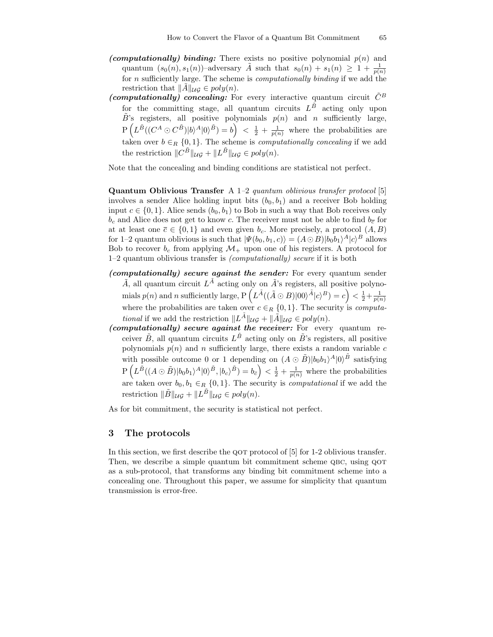- (computationally) binding: There exists no positive polynomial  $p(n)$  and quantum  $(s_0(n), s_1(n))$ -adversary  $\tilde{A}$  such that  $s_0(n) + s_1(n) \geq 1 + \frac{1}{p(n)}$ for n sufficiently large. The scheme is computationally binding if we add the restriction that  $\|\tilde{A}\|_{\mathcal{UG}} \in poly(n).$
- (computationally) concealing: For every interactive quantum circuit  $\tilde{C}^B$ for the committing stage, all quantum circuits  $L^{\tilde{B}}$  acting only upon  $\tilde{B}$ 's registers, all positive polynomials  $p(n)$  and n sufficiently large,  $P\left(L^{\tilde{B}}((C^A\odot C^{\tilde{B}})|b\rangle^A|0\rangle^{\tilde{B}})=b\right) < \frac{1}{2}+\frac{1}{p(n)}$  where the probabilities are taken over  $b \in_R \{0,1\}$ . The scheme is *computationally concealing* if we add the restriction  $||C^{\tilde{B}}||_{\mathcal{U}\mathcal{G}} + ||L^{\tilde{B}}||_{\mathcal{U}\mathcal{G}} \in poly(n).$

Note that the concealing and binding conditions are statistical not perfect.

Quantum Oblivious Transfer A  $1-2$  quantum oblivious transfer protocol [5] involves a sender Alice holding input bits  $(b_0, b_1)$  and a receiver Bob holding input  $c \in \{0, 1\}$ . Alice sends  $(b_0, b_1)$  to Bob in such a way that Bob receives only  $b_c$  and Alice does not get to know c. The receiver must not be able to find  $b_{\overline{c}}$  for at at least one  $\overline{c} \in \{0,1\}$  and even given  $b_c$ . More precisely, a protocol  $(A, B)$ for 1–2 quantum oblivious is such that  $|\Psi(b_0, b_1, c)\rangle = (A \odot B)|b_0 b_1\rangle^A|c\rangle^B$  allows Bob to recover  $b_c$  from applying  $\mathcal{M}_+$  upon one of his registers. A protocol for 1–2 quantum oblivious transfer is (computationally) secure if it is both

- (computationally) secure against the sender: For every quantum sender  $\tilde{A}$ , all quantum circuit  $L^{\tilde{A}}$  acting only on  $\tilde{A}$ 's registers, all positive polynomials  $p(n)$  and n sufficiently large,  $P\left(L^{\tilde{A}}((\tilde{A} \odot B)|00\rangle^{\tilde{A}}|c\rangle^B) = c\right) < \frac{1}{2} + \frac{1}{p(n)}$ where the probabilities are taken over  $c \in_R \{0,1\}$ . The security is *computational* if we add the restriction  $||L^{\tilde{A}}||_{\mathcal{UG}} + ||\tilde{A}||_{\mathcal{UG}} \in poly(n)$ .
- (computationally) secure against the receiver: For every quantum receiver  $\tilde{B}$ , all quantum circuits  $L^{\tilde{B}}$  acting only on  $\tilde{B}$ 's registers, all positive polynomials  $p(n)$  and n sufficiently large, there exists a random variable c with possible outcome 0 or 1 depending on  $(A \odot \tilde{B})|b_0b_1\rangle^A|0\rangle^{\tilde{B}}$  satisfying  $P\left(L^{\tilde{B}}((A \odot \tilde{B})|b_0b_1\rangle^A|0\rangle^{\tilde{B}}, |b_c\rangle^{\tilde{B}}) = b_{\bar{c}}\right) < \frac{1}{2} + \frac{1}{p(n)}$  where the probabilities are taken over  $b_0, b_1 \in_R \{0, 1\}$ . The security is *computational* if we add the restriction  $\|\tilde{B}\|_{\mathcal{UG}} + \|L^{\tilde{B}}\|_{\mathcal{UG}} \in poly(n).$

As for bit commitment, the security is statistical not perfect.

### 3 The protocols

In this section, we first describe the QOT protocol of [5] for 1-2 oblivious transfer. Then, we describe a simple quantum bit commitment scheme QBC, using QOT as a sub-protocol, that transforms any binding bit commitment scheme into a concealing one. Throughout this paper, we assume for simplicity that quantum transmission is error-free.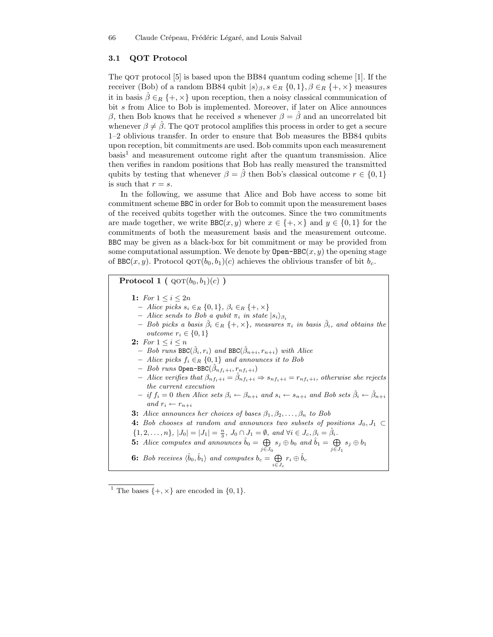#### 3.1 QOT Protocol

The QOT protocol  $[5]$  is based upon the BB84 quantum coding scheme  $[1]$ . If the receiver (Bob) of a random BB84 qubit  $|s\rangle_{\beta}$ ,  $s \in_R \{0,1\}$ ,  $\beta \in_R \{+, \times\}$  measures it in basis  $\hat{\beta} \in_R \{+, \times\}$  upon reception, then a noisy classical communication of bit s from Alice to Bob is implemented. Moreover, if later on Alice announces β, then Bob knows that he received s whenever  $\beta = \beta$  and an uncorrelated bit whenever  $\beta \neq \hat{\beta}$ . The QOT protocol amplifies this process in order to get a secure 1–2 oblivious transfer. In order to ensure that Bob measures the BB84 qubits upon reception, bit commitments are used. Bob commits upon each measurement  $basis<sup>1</sup>$  and measurement outcome right after the quantum transmission. Alice then verifies in random positions that Bob has really measured the transmitted qubits by testing that whenever  $\beta = \hat{\beta}$  then Bob's classical outcome  $r \in \{0, 1\}$ is such that  $r = s$ .

In the following, we assume that Alice and Bob have access to some bit commitment scheme BBC in order for Bob to commit upon the measurement bases of the received qubits together with the outcomes. Since the two commitments are made together, we write  $\text{BBC}(x, y)$  where  $x \in \{+, \times\}$  and  $y \in \{0, 1\}$  for the commitments of both the measurement basis and the measurement outcome. BBC may be given as a black-box for bit commitment or may be provided from some computational assumption. We denote by  $Open-BBC(x, y)$  the opening stage of BBC(x, y). Protocol  $QOT(b_0, b_1)(c)$  achieves the oblivious transfer of bit  $b_c$ .

## **Protocol 1** (  $QOT(b_0, b_1)(c)$  )

- 1: For  $1 \le i \le 2n$ 
	- $-$  Alice picks  $s_i \in_R \{0,1\}, \beta_i \in_R \{+, \times\}$
	- Alice sends to Bob a qubit  $\pi_i$  in state  $|s_i\rangle_{\beta_i}$
	- Bob picks a basis  $\hat{\beta}_i \in_R \{+, \times\}$ , measures  $\pi_i$  in basis  $\hat{\beta}_i$ , and obtains the *outcome*  $r_i \in \{0, 1\}$
- 2: For  $1 \leq i \leq n$ 
	- Bob runs BBC( $(\hat{\beta}_i, r_i)$  and BBC( $(\hat{\beta}_{n+i}, r_{n+i})$  with Alice
- $−$  Alice picks  $f_i \in_R \{0,1\}$  and announces it to Bob
- Bob runs Open-BBC( $(β<sub>nf<sub>i</sub>+i</sub>, r<sub>nf<sub>i</sub>+i</sub>)$
- Alice verifies that  $\beta_{nf_i+i} = \beta_{nf_i+i} \Rightarrow s_{nf_i+i} = r_{nf_i+i}$ , otherwise she rejects the current execution
- $-$  if  $f_i = 0$  then Alice sets  $\beta_i \leftarrow \beta_{n+i}$  and  $s_i \leftarrow s_{n+i}$  and Bob sets  $\hat{\beta}_i \leftarrow \hat{\beta}_{n+i}$ and  $r_i \leftarrow r_{n+i}$
- **3:** Alice announces her choices of bases  $\beta_1, \beta_2, \ldots, \beta_n$  to Bob
- 4: Bob chooses at random and announces two subsets of positions  $J_0, J_1 \subset$
- $\{1, 2, \ldots, n\}, |J_0| = |J_1| = \frac{n}{3}, J_0 \cap J_1 = \emptyset, \text{ and } \forall i \in J_c, \beta_i = \hat{\beta}_i.$
- **5:** Alice computes and announces  $\hat{b}_0 = \bigoplus_{j \in J_0} s_j \oplus b_0$  and  $\hat{b}_1 = \bigoplus_{j \in J_1} s_j \oplus b_1$
- **6:** Bob receives  $\langle \hat{b}_0, \hat{b}_1 \rangle$  and computes  $b_c = \bigoplus_{i \in J_c} r_i \oplus \hat{b}_c$

<sup>&</sup>lt;sup>1</sup> The bases  $\{+, \times\}$  are encoded in  $\{0, 1\}$ .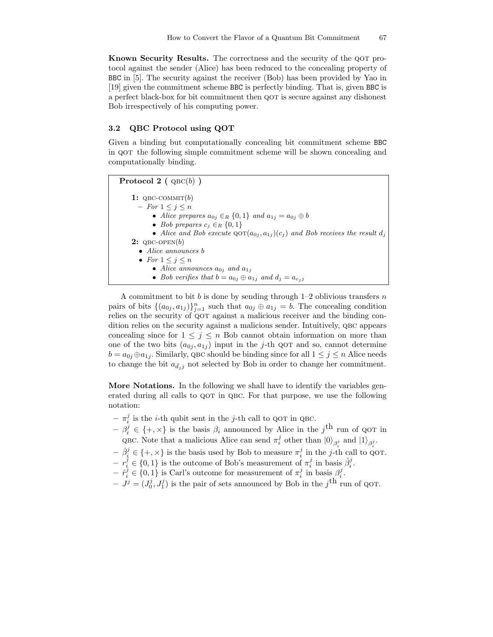Known Security Results. The correctness and the security of the QOT protocol against the sender (Alice) has been reduced to the concealing property of BBC in [5]. The security against the receiver (Bob) has been provided by Yao in [19] given the commitment scheme BBC is perfectly binding. That is, given BBC is a perfect black-box for bit commitment then QOT is secure against any dishonest Bob irrespectively of his computing power.

### 3.2 QBC Protocol using QOT

Given a binding but computationally concealing bit commitment scheme BBC in qot the following simple commitment scheme will be shown concealing and computationally binding.

Protocol 2 ( $QBC(b)$ ) 1:  $QBC-COMMIT(b)$  $-$  For  $1 \leq j \leq n$ • Alice prepares  $a_{0j} \in R \{0,1\}$  and  $a_{1j} = a_{0j} \oplus b$ • Bob prepares  $c_i \in_R \{0,1\}$ • Alice and Bob execute  $QOT(a_{0j}, a_{1j})(c_j)$  and Bob receives the result  $d_j$ 2:  $QBC-OPEN(b)$ • Alice announces b • For  $1 \leq j \leq n$ • Alice announces  $a_{0j}$  and  $a_{1j}$ • Bob verifies that  $b = a_{0j} \oplus a_{1j}$  and  $d_j = a_{c_j j}$ 

A commitment to bit b is done by sending through  $1-2$  oblivious transfers n pairs of bits  $\{(a_{0j}, a_{1j})\}_{j=1}^n$  such that  $a_{0j} \oplus a_{1j} = b$ . The concealing condition relies on the security of qot against a malicious receiver and the binding condition relies on the security against a malicious sender. Intuitively, QBC appears concealing since for  $1 \leq j \leq n$  Bob cannot obtain information on more than one of the two bits  $(a_{0j}, a_{1j})$  input in the j-th QOT and so, cannot determine  $b = a_{0j} \oplus a_{1j}$ . Similarly, QBC should be binding since for all  $1 \leq j \leq n$  Alice needs to change the bit  $a_{\bar{d}_i j}$  not selected by Bob in order to change her commitment.

More Notations. In the following we shall have to identify the variables generated during all calls to QOT in QBC. For that purpose, we use the following notation:

- $-\pi_i^j$  is the *i*-th qubit sent in the *j*-th call to QOT in QBC.
- $-\beta_i^j \in \{+, \times\}$  is the basis  $\beta_i$  announced by Alice in the  $j^{\text{th}}$  run of QOT in QBC. Note that a malicious Alice can send  $\pi_i^j$  other than  $|0\rangle_{\beta_i^j}$  and  $|1\rangle_{\beta_i^j}$ .
- $-\hat{\beta}_i^j \in \{+, \times\}$  is the basis used by Bob to measure  $\pi_i^j$  in the j-th call to QOT.
- $\{-r_i^j \in \{0,1\} \text{ is the outcome of Bob's measurement of } \pi_i^j \text{ in basis } \hat{\beta}_i^j.$
- $-\hat{r}_i^j \in \{0,1\}$  is Carl's outcome for measurement of  $\pi_i^j$  in basis  $\beta_i^j$ .
- $-J^j = (J_0^j, J_1^j)$  is the pair of sets announced by Bob in the j<sup>th</sup> run of QOT.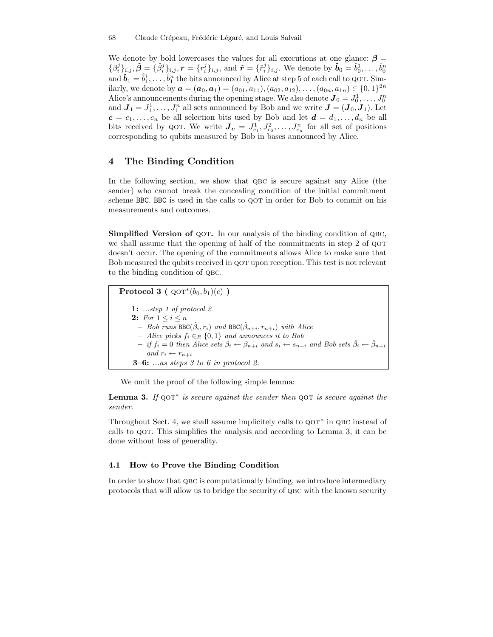We denote by bold lowercases the values for all executions at one glance:  $\beta =$  $\{\beta_i^j\}_{i,j}, \hat{\boldsymbol{\beta}} = \{\hat{\beta}_i^j\}_{i,j}, \boldsymbol{r} = \{r_i^j\}_{i,j}, \text{ and } \hat{\boldsymbol{r}} = \{\hat{r}_i^j\}_{i,j}.$  We denote by  $\hat{\boldsymbol{b}}_0 = \hat{b}_0^1, \ldots, \hat{b}_0^n$ and  $\hat{\bm{b}}_1 = \hat{b}_1^1, \ldots, \hat{b}_1^n$  the bits announced by Alice at step 5 of each call to QOT. Similarly, we denote by  $\boldsymbol{a} = (\boldsymbol{a}_0, \boldsymbol{a}_1) = (a_{01}, a_{11}), (a_{02}, a_{12}), \dots, (a_{0n}, a_{1n}) \in \{0, 1\}^{2n}$ Alice's announcements during the opening stage. We also denote  $\boldsymbol{J}_0 = J_0^1, \dots, J_0^n$ and  $J_1 = J_1^1, \ldots, J_1^n$  all sets announced by Bob and we write  $J = (J_0, J_1)$ . Let  $c = c_1, \ldots, c_n$  be all selection bits used by Bob and let  $d = d_1, \ldots, d_n$  be all bits received by QOT. We write  $J_c = J_{c_1}^1, J_{c_2}^2, \ldots, J_{c_n}^n$  for all set of positions corresponding to qubits measured by Bob in bases announced by Alice.

## 4 The Binding Condition

In the following section, we show that QBC is secure against any Alice (the sender) who cannot break the concealing condition of the initial commitment scheme BBC. BBC is used in the calls to QOT in order for Bob to commit on his measurements and outcomes.

Simplified Version of QOT. In our analysis of the binding condition of QBC, we shall assume that the opening of half of the commitments in step 2 of QOT doesn't occur. The opening of the commitments allows Alice to make sure that Bob measured the qubits received in qot upon reception. This test is not relevant to the binding condition of QBC.

 $\textbf{Protocol 3} \, \left(\, \, \text{QOT}^{*}(b_0, b_1)(c) \, \, \right)$ **1:** ...step 1 of protocol 2 2: For  $1 \leq i \leq n$ – Bob runs BBC( $(\hat{\beta}_i, r_i)$  and BBC( $(\hat{\beta}_{n+i}, r_{n+i})$  with Alice  $−$  Alice picks  $f_i \in_R \{0,1\}$  and announces it to Bob  $-$  if  $f_i = 0$  then Alice sets  $\beta_i \leftarrow \beta_{n+i}$  and  $s_i \leftarrow s_{n+i}$  and Bob sets  $\hat{\beta}_i \leftarrow \hat{\beta}_{n+i}$ and  $r_i \leftarrow r_{n+i}$ **3–6:** ...as steps 3 to 6 in protocol 2.

We omit the proof of the following simple lemma:

**Lemma 3.** If  $QOT^*$  is secure against the sender then  $QOT$  is secure against the sender.

Throughout Sect. 4, we shall assume implicitely calls to  $QOT^*$  in QBC instead of calls to QOT. This simplifies the analysis and according to Lemma 3, it can be done without loss of generality.

#### 4.1 How to Prove the Binding Condition

In order to show that qbc is computationally binding, we introduce intermediary protocols that will allow us to bridge the security of qbc with the known security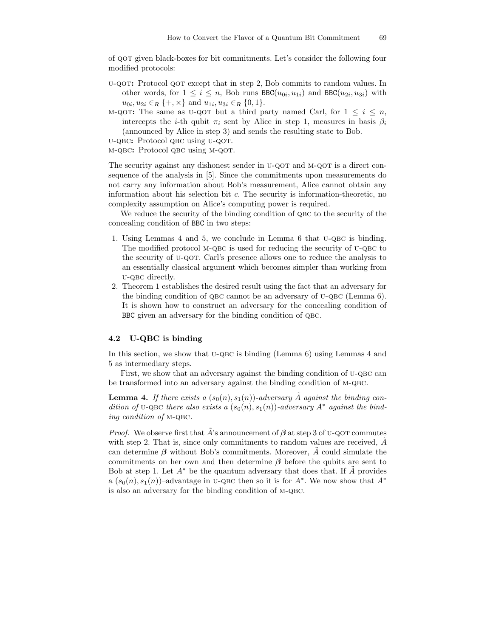of qot given black-boxes for bit commitments. Let's consider the following four modified protocols:

- u-qot: Protocol qot except that in step 2, Bob commits to random values. In other words, for  $1 \leq i \leq n$ , Bob runs BBC $(u_{0i}, u_{1i})$  and BBC $(u_{2i}, u_{3i})$  with  $u_{0i}, u_{2i} \in_R \{+, \times\}$  and  $u_{1i}, u_{3i} \in_R \{0, 1\}.$
- M-QOT: The same as U-QOT but a third party named Carl, for  $1 \leq i \leq n$ , intercepts the *i*-th qubit  $\pi_i$  sent by Alice in step 1, measures in basis  $\beta_i$ (announced by Alice in step 3) and sends the resulting state to Bob.
- u-qbc: Protocol qbc using u-qot.
- m-qbc: Protocol qbc using m-qot.

The security against any dishonest sender in U-QOT and M-QOT is a direct consequence of the analysis in [5]. Since the commitments upon measurements do not carry any information about Bob's measurement, Alice cannot obtain any information about his selection bit c. The security is information-theoretic, no complexity assumption on Alice's computing power is required.

We reduce the security of the binding condition of QBC to the security of the concealing condition of BBC in two steps:

- 1. Using Lemmas 4 and 5, we conclude in Lemma 6 that U-QBC is binding. The modified protocol M-QBC is used for reducing the security of U-QBC to the security of u-qot. Carl's presence allows one to reduce the analysis to an essentially classical argument which becomes simpler than working from u-qbc directly.
- 2. Theorem 1 establishes the desired result using the fact that an adversary for the binding condition of  $QBC$  cannot be an adversary of U-QBC (Lemma 6). It is shown how to construct an adversary for the concealing condition of BBC given an adversary for the binding condition of QBC.

#### 4.2 U-QBC is binding

In this section, we show that  $U-QBC$  is binding (Lemma 6) using Lemmas 4 and 5 as intermediary steps.

First, we show that an adversary against the binding condition of U-QBC can be transformed into an adversary against the binding condition of  $M-QBC$ .

**Lemma 4.** If there exists a  $(s_0(n), s_1(n))$ -adversary  $\tilde{A}$  against the binding condition of u-QBC there also exists a  $(s_0(n), s_1(n))$ -adversary A<sup>∗</sup> against the binding condition of  $M-QBC$ .

*Proof.* We observe first that  $\tilde{A}$ 's announcement of  $\beta$  at step 3 of u-qot commutes with step 2. That is, since only commitments to random values are received,  $A$ can determine  $\beta$  without Bob's commitments. Moreover, A could simulate the commitments on her own and then determine  $\beta$  before the qubits are sent to Bob at step 1. Let  $A^*$  be the quantum adversary that does that. If A provides a  $(s_0(n), s_1(n))$ -advantage in U-QBC then so it is for  $A^*$ . We now show that  $A^*$ is also an adversary for the binding condition of M-QBC.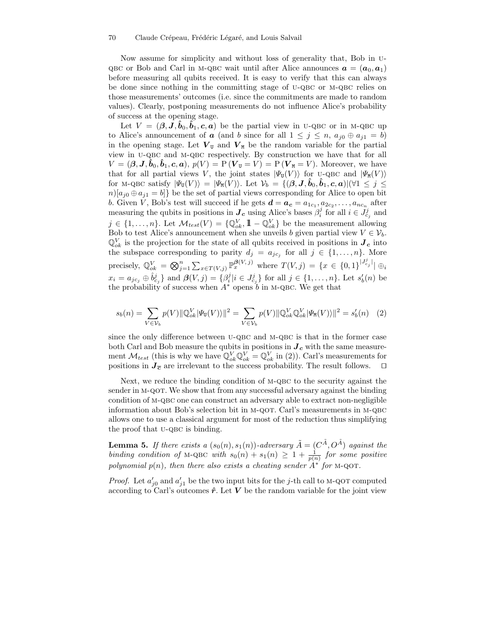#### 70 Claude Crépeau, Frédéric Légaré, and Louis Salvail

Now assume for simplicity and without loss of generality that, Bob in uqbc or Bob and Carl in M-qbc wait until after Alice announces  $a = (a_0, a_1)$ before measuring all qubits received. It is easy to verify that this can always be done since nothing in the committing stage of U-QBC or M-QBC relies on those measurements' outcomes (i.e. since the commitments are made to random values). Clearly, postponing measurements do not influence Alice's probability of success at the opening stage.

Let  $V = (\beta, J, \hat{b}_0, \hat{b}_1, c, a)$  be the partial view in U-QBC or in M-QBC up to Alice's announcement of **a** (and b since for all  $1 \leq j \leq n$ ,  $a_{j0} \oplus a_{j1} = b$ ) in the opening stage. Let  $V_{\text{U}}$  and  $V_{\text{M}}$  be the random variable for the partial view in u-qbc and m-qbc respectively. By construction we have that for all  $V = (\beta, J, \hat{b}_0, \hat{b}_1, c, a), p(V) = P(V_U = V) = P(V_M = V)$ . Moreover, we have that for all partial views V, the joint states  $|\psi_{\mathtt{U}}(V)\rangle$  for u-qbc and  $|\psi_{\mathtt{M}}(V)\rangle$ for M-QBC satisfy  $|\Psi_{\mathbf{U}}(V)\rangle = |\Psi_{\mathbf{M}}(V)\rangle$ . Let  $\mathcal{V}_b = \{(\boldsymbol{\beta}, \mathbf{J}, \hat{\boldsymbol{b}}_0, \hat{\boldsymbol{b}}_1, \mathbf{c}, \mathbf{a}) | (\forall 1 \leq j \leq n\})$  $n|[a_{i0} \oplus a_{i1} = b]|$  be the set of partial views corresponding for Alice to open bit b. Given V, Bob's test will succeed if he gets  $d = a_c = a_{1c_1}, a_{2c_2}, \ldots, a_{nc_n}$  after measuring the qubits in positions in  $J_c$  using Alice's bases  $\beta_i^j$  for all  $i \in J_{c_j}^j$  and  $j \in \{1, \ldots, n\}$ . Let  $\mathcal{M}_{test}(V) = \{\mathbb{Q}_{ok}^V, \mathbb{1} - \mathbb{Q}_{ok}^V\}$  be the measurement allowing Bob to test Alice's announcement when she unveils b given partial view  $V \in \mathcal{V}_b$ .  $\mathbb{Q}_{ok}^V$  is the projection for the state of all qubits received in positions in  $J_c$  into the subspace corresponding to parity  $d_j = a_{jc_j}$  for all  $j \in \{1, ..., n\}$ . More precisely,  $\mathbb{Q}_{ok}^V = \bigotimes_{j=1}^n \sum_{x \in T(V,j)} \mathbb{P}_{x}^{\beta(V,j)}$  where  $T(V,j) = \{x \in \{0,1\}^{|J_{c_j}^j|} | \bigoplus_i$  $x_i = a_{jc_j} \oplus \hat{b}^j_{c_j}$  and  $\boldsymbol{\beta}(V, j) = {\beta^j_i | i \in J^j_{c_j}}$  for all  $j \in \{1, ..., n\}$ . Let  $s'_b(n)$  be the probability of success when  $A^*$  opens b in M-QBC. We get that

$$
s_b(n) = \sum_{V \in \mathcal{V}_b} p(V) \|\mathbb{Q}_{ok}^V |\Psi_{\mathbf{U}}(V)\rangle\|^2 = \sum_{V \in \mathcal{V}_b} p(V) \|\mathbb{Q}_{ok}^V \mathbb{Q}_{ok}^V |\Psi_{\mathbf{M}}(V)\rangle\|^2 = s_b'(n) \quad (2)
$$

since the only difference between U-QBC and M-QBC is that in the former case both Carl and Bob measure the qubits in positions in  $J_c$  with the same measurement  $\mathcal{M}_{test}$  (this is why we have  $\mathbb{Q}_{ok}^V \mathbb{Q}_{ok}^V = \mathbb{Q}_{ok}^V$  in (2)). Carl's measurements for positions in  $\boldsymbol{J}_{\overline{c}}$  are irrelevant to the success probability. The result follows.  $\quad \Box$ 

Next, we reduce the binding condition of M-QBC to the security against the sender in m-qot. We show that from any successful adversary against the binding condition of m-qbc one can construct an adversary able to extract non-negligible information about Bob's selection bit in  $M-QOT$ . Carl's measurements in  $M-QBC$ allows one to use a classical argument for most of the reduction thus simplifying the proof that  $U-QBC$  is binding.

**Lemma 5.** If there exists a  $(s_0(n), s_1(n))$ -adversary  $\tilde{A} = (C^{\tilde{A}}, O^{\tilde{A}})$  against the binding condition of M-QBC with  $s_0(n) + s_1(n) \geq 1 + \frac{1}{p(n)}$  for some positive polynomial  $p(n)$ , then there also exists a cheating sender  $A^*$  for M-QOT.

*Proof.* Let  $a'_{j0}$  and  $a'_{j1}$  be the two input bits for the j-th call to M-QOT computed according to Carl's outcomes  $\hat{r}$ . Let V be the random variable for the joint view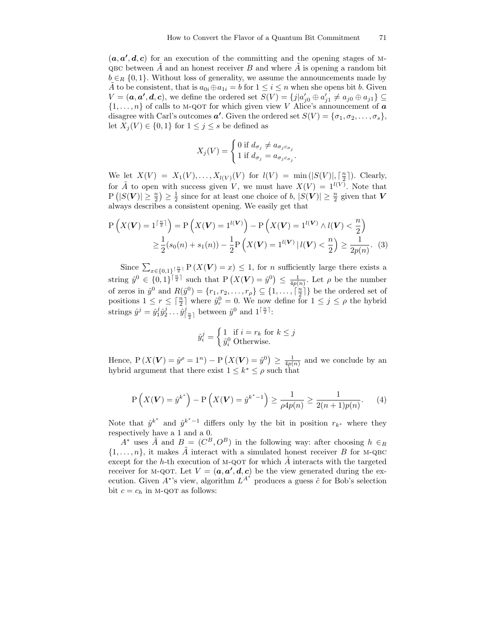$(a, a', d, c)$  for an execution of the committing and the opening stages of Mqbc between  $\tilde{A}$  and an honest receiver B and where  $\tilde{A}$  is opening a random bit  $b \in_R \{0,1\}$ . Without loss of generality, we assume the announcements made by A to be consistent, that is  $a_{0i} \oplus a_{1i} = b$  for  $1 \leq i \leq n$  when she opens bit b. Given  $V = (\boldsymbol{a}, \boldsymbol{a'}, \boldsymbol{d}, \boldsymbol{c})$ , we define the ordered set  $S(V) = \{j | a'_{j0} \oplus a'_{j1} \neq a_{j0} \oplus a_{j1}\} \subseteq$  $\{1, \ldots, n\}$  of calls to M-QOT for which given view V Alice's announcement of  $\boldsymbol{a}$ disagree with Carl's outcomes  $a'$ . Given the ordered set  $S(V) = {\sigma_1, \sigma_2, \ldots, \sigma_s}$ , let  $X_j(V) \in \{0,1\}$  for  $1 \leq j \leq s$  be defined as

$$
X_j(V) = \begin{cases} 0 \text{ if } d_{\sigma_j} \neq a_{\sigma_j c_{\sigma_j}} \\ 1 \text{ if } d_{\sigma_j} = a_{\sigma_j c_{\sigma_j}}. \end{cases}
$$

We let  $X(V) = X_1(V), \ldots, X_{l(V)}(V)$  for  $l(V) = \min(|S(V)|, \lceil \frac{n}{2} \rceil)$ . Clearly, for  $\tilde{A}$  to open with success given V, we must have  $X(V) = 1^{l(V)}$ . Note that  $P(|S(V)| \geq \frac{n}{2}) \geq \frac{1}{2}$  since for at least one choice of b,  $|S(V)| \geq \frac{n}{2}$  given that V always describes a consistent opening. We easily get that

$$
P(X(V) = 1^{\lceil \frac{n}{2} \rceil}) = P(X(V) = 1^{l(V)}) - P(X(V) = 1^{l(V)} \wedge l(V) < \frac{n}{2})
$$
\n
$$
\geq \frac{1}{2}(s_0(n) + s_1(n)) - \frac{1}{2}P(X(V) = 1^{l(V)} | l(V) < \frac{n}{2}) \geq \frac{1}{2p(n)}. \tag{3}
$$

Since  $\sum_{x \in \{0,1\}^{\lceil \frac{n}{2} \rceil}} P(X(V) = x) \leq 1$ , for *n* sufficiently large there exists a string  $\hat{y}^0 \in \{0,1\}^{\lceil \frac{n}{2} \rceil}$  such that  $P(X(V) = \hat{y}^0) \leq \frac{1}{4p(n)}$ . Let  $\rho$  be the number of zeros in  $\hat{y}^0$  and  $R(\hat{y}^0) = \{r_1, r_2, \ldots, r_\rho\} \subseteq \{1, \ldots, \lceil \frac{n}{2} \rceil\}$  be the ordered set of positions  $1 \leq r \leq \lceil \frac{n}{2} \rceil$  where  $\hat{y}_r^0 = 0$ . We now define for  $1 \leq j \leq \rho$  the hybrid strings  $\hat{y}^j = \hat{y}_1^j \hat{y}_2^j \dots \hat{y}_\text{r}^j$  $\frac{j}{\lceil \frac{n}{2} \rceil}$  between  $\hat{y}^0$  and  $1^{\lceil \frac{n}{2} \rceil}$ :

$$
\hat{y}_i^j = \begin{cases} 1 \text{ if } i = r_k \text{ for } k \leq j \\ \hat{y}_i^0 \text{ Otherwise.} \end{cases}
$$

Hence,  $P(X(V) = \hat{y}^{\rho} = 1^{n}) - P(X(V) = \hat{y}^{0}) \ge \frac{1}{4p(n)}$  and we conclude by an hybrid argument that there exist  $1 \leq k^* \leq \rho$  such that

$$
P(X(V) = \hat{y}^{k^*}) - P(X(V) = \hat{y}^{k^*-1}) \ge \frac{1}{\rho 4p(n)} \ge \frac{1}{2(n+1)p(n)}.
$$
 (4)

Note that  $\hat{y}^{k^*}$  and  $\hat{y}^{k^*-1}$  differs only by the bit in position  $r_{k^*}$  where they respectively have a 1 and a 0.

A<sup>\*</sup> uses  $\tilde{A}$  and  $B = (C^B, O^B)$  in the following way: after choosing  $h \in_R$  $\{1,\ldots,n\}$ , it makes  $\tilde{A}$  interact with a simulated honest receiver B for M-QBC except for the h-th execution of M-QOT for which  $\ddot{A}$  interacts with the targeted receiver for M-QOT. Let  $V = (\boldsymbol{a}, \boldsymbol{a}', \boldsymbol{d}, \boldsymbol{c})$  be the view generated during the execution. Given  $A^*$ 's view, algorithm  $L^{A^*}$  produces a guess  $\tilde{c}$  for Bob's selection bit  $c = c_h$  in M-QOT as follows: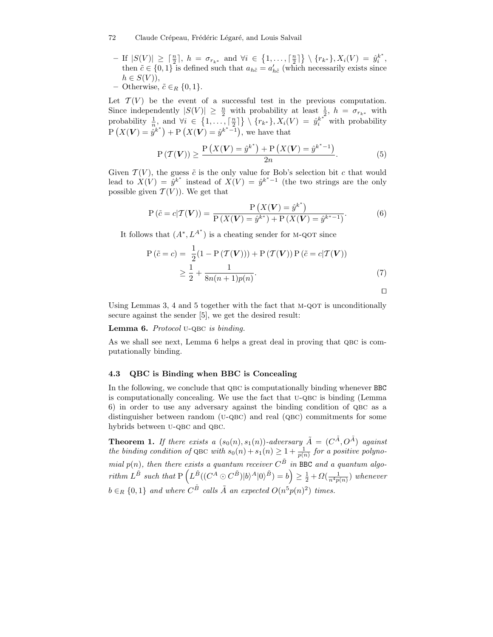72 Claude Crépeau, Frédéric Légaré, and Louis Salvail

- $-$  If  $|S(V)|$  ≥  $\left[\frac{n}{2}\right]$ ,  $h = \sigma_{r_{k^*}}$  and  $\forall i \in \{1, ..., \left[\frac{n}{2}\right]\} \setminus \{r_{k^*}\}, X_i(V) = \hat{y}_i^{k^*},$ then  $\tilde{c} \in \{0, 1\}$  is defined such that  $a_{h\tilde{c}} = a'_{h\tilde{c}}$  (which necessarily exists since  $h \in S(V)$ ,
- Otherwise,  $\tilde{c} \in_R \{0, 1\}.$

Let  $\mathcal{T}(V)$  be the event of a successful test in the previous computation. Since independently  $|S(V)| \geq \frac{n}{2}$  with probability at least  $\frac{1}{2}$ ,  $h = \sigma_{r_{k^*}}$  with probability  $\frac{1}{n}$ , and  $\forall i \in \{1, \ldots, \lceil \frac{n}{2} \rceil\} \setminus \{r_{k^*}\}, X_i(V) = \hat{y_i^{k^*}}$  with probability  $P(X(V) = \hat{y}^{k^*}) + P(X(V) = \hat{y}^{k^*-1}),$  we have that

$$
P(T(V)) \ge \frac{P(X(V) = \hat{y}^{k^*}) + P(X(V) = \hat{y}^{k^* - 1})}{2n}.
$$
 (5)

Given  $\mathcal{T}(V)$ , the guess  $\tilde{c}$  is the only value for Bob's selection bit c that would lead to  $X(V) = \hat{y}^{k^*}$  instead of  $X(V) = \hat{y}^{k^*-1}$  (the two strings are the only possible given  $\mathcal{T}(V)$ ). We get that

$$
P(\tilde{c} = c | \mathcal{T}(\mathbf{V})) = \frac{P(X(\mathbf{V}) = \hat{y}^{k^*})}{P(X(\mathbf{V}) = \hat{y}^{k^*}) + P(X(\mathbf{V}) = \hat{y}^{k^* - 1})}.
$$
(6)

It follows that  $(A^*, L^{A^*})$  is a cheating sender for M-QOT since

$$
P\left(\tilde{c} = c\right) = \frac{1}{2}(1 - P\left(\mathcal{T}(\mathbf{V})\right)) + P\left(\mathcal{T}(\mathbf{V})\right)P\left(\tilde{c} = c|\mathcal{T}(\mathbf{V})\right)
$$

$$
\geq \frac{1}{2} + \frac{1}{8n(n+1)p(n)}.\tag{7}
$$

 $\Box$ 

Using Lemmas  $3, 4$  and  $5$  together with the fact that M-QOT is unconditionally secure against the sender [5], we get the desired result:

Lemma 6. Protocol U-QBC is binding.

As we shall see next, Lemma 6 helps a great deal in proving that QBC is computationally binding.

#### 4.3 QBC is Binding when BBC is Concealing

In the following, we conclude that QBC is computationally binding whenever BBC is computationally concealing. We use the fact that u-qbc is binding (Lemma 6) in order to use any adversary against the binding condition of qbc as a distinguisher between random  $(U-QBC)$  and real  $(QBC)$  commitments for some hybrids between U-QBC and QBC.

**Theorem 1.** If there exists a  $(s_0(n), s_1(n))$ -adversary  $\tilde{A} = (C^{\tilde{A}}, O^{\tilde{A}})$  against the binding condition of QBC with  $s_0(n) + s_1(n) \geq 1 + \frac{1}{p(n)}$  for a positive polynomial  $p(n)$ , then there exists a quantum receiver  $C^{\tilde{B}}$  in BBC and a quantum algorithm  $L^{\tilde{B}}$  such that  $P\left(L^{\tilde{B}}((C^A \odot C^{\tilde{B}})|b\rangle^A|0\rangle^{\tilde{B}}) = b\right) \geq \frac{1}{2} + \Omega(\frac{1}{n^4p(n)})$  whenever  $b \in_R \{0,1\}$  and where  $C^{\tilde{B}}$  calls  $\tilde{A}$  an expected  $O(n^5p(n)^2)$  times.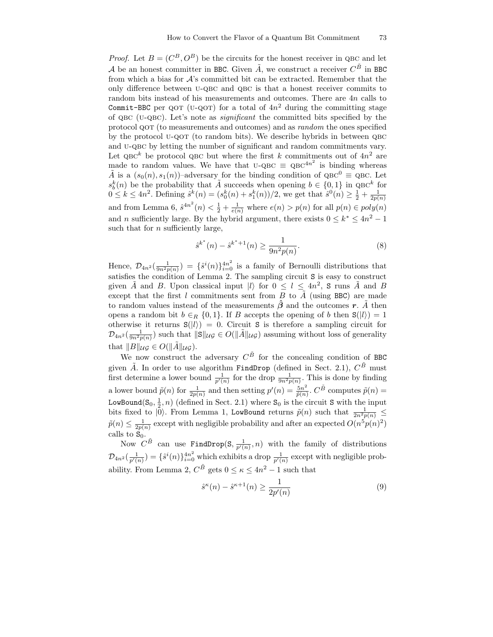*Proof.* Let  $B = (C^B, O^B)$  be the circuits for the honest receiver in QBC and let A be an honest committer in BBC. Given  $\tilde{A}$ , we construct a receiver  $C^{\tilde{B}}$  in BBC from which a bias for A's committed bit can be extracted. Remember that the only difference between u-qbc and qbc is that a honest receiver commits to random bits instead of his measurements and outcomes. There are 4n calls to Commit-BBC per QOT (U-QOT) for a total of  $4n^2$  during the committing stage of qbc (u-qbc). Let's note as significant the committed bits specified by the protocol qot (to measurements and outcomes) and as random the ones specified by the protocol U-QOT (to random bits). We describe hybrids in between QBC and U-QBC by letting the number of significant and random commitments vary. Let  $QBC^k$  be protocol QBC but where the first k commitments out of  $4n^2$  are made to random values. We have that  $U-QBC \equiv QBC^{4n^2}$  is binding whereas  $\tilde{A}$  is a  $(s_0(n), s_1(n))$ -adversary for the binding condition of  $QBC^0 \equiv QBC$ . Let  $s_b^k(n)$  be the probability that  $\tilde{A}$  succeeds when opening  $b \in \{0,1\}$  in  $QBC^k$  for  $0 \le k \le 4n^2$ . Defining  $\hat{s}^k(n) = (s_0^k(n) + s_1^k(n))/2$ , we get that  $\hat{s}^0(n) \ge \frac{1}{2} + \frac{1}{2p(n)}$ and from Lemma 6,  $\hat{s}^{4n^2}(n) < \frac{1}{2} + \frac{1}{e(n)}$  where  $e(n) > p(n)$  for all  $p(n) \in poly(n)$ and *n* sufficiently large. By the hybrid argument, there exists  $0 \leq k^* \leq 4n^2 - 1$ such that for  $n$  sufficiently large,

$$
\hat{s}^{k^*}(n) - \hat{s}^{k^*+1}(n) \ge \frac{1}{9n^2p(n)}.\tag{8}
$$

Hence,  $\mathcal{D}_{4n^2}(\frac{1}{9n^2p(n)}) = {\hat{s}^i(n)}_{i=0}^{4n^2}$  is a family of Bernoulli distributions that satisfies the condition of Lemma 2. The sampling circuit S is easy to construct given  $\tilde{A}$  and B. Upon classical input  $|l\rangle$  for  $0 \leq l \leq 4n^2$ , S runs  $\tilde{A}$  and B except that the first  $l$  commitments sent from  $B$  to  $\tilde{A}$  (using BBC) are made to random values instead of the measurements  $\hat{\beta}$  and the outcomes r.  $\tilde{A}$  then opens a random bit  $b \in_R \{0,1\}$ . If B accepts the opening of b then  $S(|l\rangle) = 1$ otherwise it returns  $S(|l\rangle) = 0$ . Circuit S is therefore a sampling circuit for  $\mathcal{D}_{4n^2}(\frac{1}{9n^2p(n)})$  such that  $\|\mathbf{S}\|_{\mathcal{U}\mathcal{G}} \in O(\|\tilde{A}\|_{\mathcal{U}\mathcal{G}})$  assuming without loss of generality that  $||B||_{\mathcal{UG}} \in O(||\tilde{A}||_{\mathcal{UG}}).$ 

We now construct the adversary  $C^{\tilde{B}}$  for the concealing condition of BBC given  $\tilde{A}$ . In order to use algorithm FindDrop (defined in Sect. 2.1),  $C^{\tilde{B}}$  must first determine a lower bound  $\frac{1}{p'(n)}$  for the drop  $\frac{1}{9n^2p(n)}$ . This is done by finding a lower bound  $\tilde{p}(n)$  for  $\frac{1}{2p(n)}$  and then setting  $p'(n) = \frac{5n^2}{\tilde{p}(n)}$  $\frac{5n^2}{\tilde{p}(n)}$ .  $C^{\tilde{B}}$  computes  $\tilde{p}(n) =$ LowBound( $S_0, \frac{1}{2}, n$ ) (defined in Sect. 2.1) where  $S_0$  is the circuit S with the input bits fixed to  $|\bar{0}\rangle$ . From Lemma 1, LowBound returns  $\tilde{p}(n)$  such that  $\frac{1}{2n^2p(n)} \leq$  $\tilde{p}(n) \leq \frac{1}{2p(n)}$  except with negligible probability and after an expected  $O(n^5p(n)^2)$ calls to  $S_0$ .

Now  $C^{\tilde{B}}$  can use FindDrop(S,  $\frac{1}{p'(n)}, n$ ) with the family of distributions  $\mathcal{D}_{4n^2}(\frac{1}{p'(n)}) = \{\hat{s}^i(n)\}_{i=0}^{4n^2}$  which exhibits a drop  $\frac{1}{p'(n)}$  except with negligible probability. From Lemma 2,  $C^{\tilde{B}}$  gets  $0 \leq \kappa \leq 4n^2 - 1$  such that

$$
\hat{s}^{\kappa}(n) - \hat{s}^{\kappa+1}(n) \ge \frac{1}{2p'(n)}
$$
\n(9)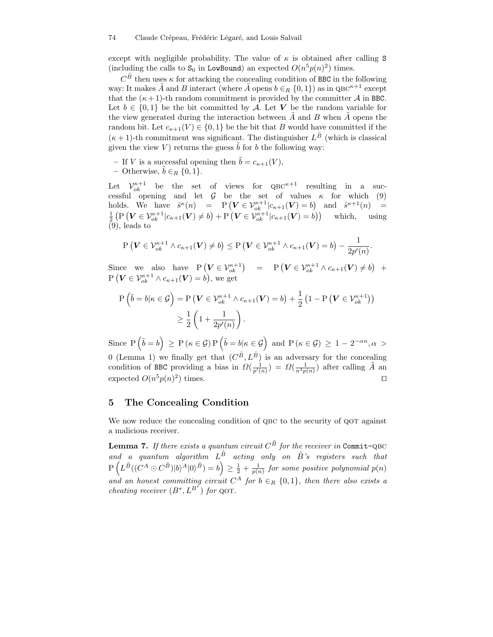except with negligible probability. The value of  $\kappa$  is obtained after calling S (including the calls to  $S_0$  in LowBound) an expected  $O(n^5p(n)^2)$  times.

 $C^{\tilde{B}}$  then uses  $\kappa$  for attacking the concealing condition of BBC in the following way: It makes  $\tilde{A}$  and B interact (where  $\tilde{A}$  opens  $b \in_R \{0,1\}$ ) as in  $QBC^{\kappa+1}$  except that the  $(\kappa+1)$ -th random commitment is provided by the committer A in BBC. Let  $b \in \{0,1\}$  be the bit committed by A. Let V be the random variable for the view generated during the interaction between  $A$  and  $B$  when  $A$  opens the random bit. Let  $c_{\kappa+1}(V) \in \{0,1\}$  be the bit that B would have committed if the  $(\kappa+1)$ -th commitment was significant. The distinguisher  $L^{\tilde{B}}$  (which is classical given the view V) returns the guess  $\tilde{b}$  for b the following way:

- If V is a successful opening then  $b = c_{\kappa+1}(V)$ ,
- Otherwise,  $b \in_R \{0, 1\}.$

Let  $\mathcal{V}_{ok}^{\kappa+1}$  be the set of views for  $QBC^{\kappa+1}$  resulting in a successful opening and let G be the set of values  $\kappa$  for which (9) holds. We have  $\hat{s}^{\kappa}(n) = P(V \in \mathcal{V}_{ok}^{\kappa+1}|c_{\kappa+1}(V) = b)$  and  $\hat{s}^{\kappa+1}(n) =$  $\frac{1}{2} \left( P \left( V \in \mathcal{V}_{ok}^{\kappa+1} | c_{\kappa+1}(V) \neq b \right) + P \left( V \in \mathcal{V}_{ok}^{\kappa+1} | c_{\kappa+1}(V) = b \right) \right)$  which, using  $(9)$ , leads to

$$
P\left(\mathbf{V}\in\mathcal{V}_{ok}^{\kappa+1}\wedge c_{\kappa+1}(\mathbf{V})\neq b\right)\leq P\left(\mathbf{V}\in\mathcal{V}_{ok}^{\kappa+1}\wedge c_{\kappa+1}(\mathbf{V})=b\right)-\frac{1}{2p'(n)}.
$$

Since we also have  $P(V \in \mathcal{V}_{ok}^{k+1}) = P(V \in \mathcal{V}_{ok}^{k+1} \wedge c_{k+1}(V) \neq b)$  +  $P\left(\boldsymbol{V} \in \mathcal{V}_{ok}^{\kappa+1} \wedge c_{\kappa+1}(\boldsymbol{V}) = b\right)$ , we get

$$
P\left(\tilde{b} = b | \kappa \in \mathcal{G}\right) = P\left(\mathbf{V} \in \mathcal{V}_{ok}^{\kappa+1} \land c_{\kappa+1}(\mathbf{V}) = b\right) + \frac{1}{2} \left(1 - P\left(\mathbf{V} \in \mathcal{V}_{ok}^{\kappa+1}\right)\right) \\
\geq \frac{1}{2} \left(1 + \frac{1}{2p'(n)}\right).
$$

Since  $P(\tilde{b}=b) \geq P(\kappa \in \mathcal{G}) P(\tilde{b}=b | \kappa \in \mathcal{G})$  and  $P(\kappa \in \mathcal{G}) \geq 1 - 2^{-\alpha n}, \alpha >$ 0 (Lemma 1) we finally get that  $(C^{\tilde{B}}, L^{\tilde{B}})$  is an adversary for the concealing condition of BBC providing a bias in  $\Omega(\frac{1}{p'(n)}) = \Omega(\frac{1}{n^4 p(n)})$  after calling  $\tilde{A}$  and expected  $O(n^5p(n)^2)$  times.

### 5 The Concealing Condition

We now reduce the concealing condition of QBC to the security of QOT against a malicious receiver.

**Lemma 7.** If there exists a quantum circuit  $C^{\tilde{B}}$  for the receiver in Commit-QBC and a quantum algorithm  $L^{\tilde{B}}$  acting only on  $\tilde{B}$ 's registers such that  $\Pr\left(L^{\tilde{B}}((C^A\odot C^{\tilde{B}})|b\rangle^A|0\rangle^{\tilde{B}})=b\right)\geq\frac{1}{2}+\frac{1}{p(n)}\textit{ for some positive polynomial }p(n)$ and an honest committing circuit  $C^A$  for  $b \in_R \{0,1\}$ , then there also exists a cheating receiver  $(B^*, L^{B^*})$  for QOT.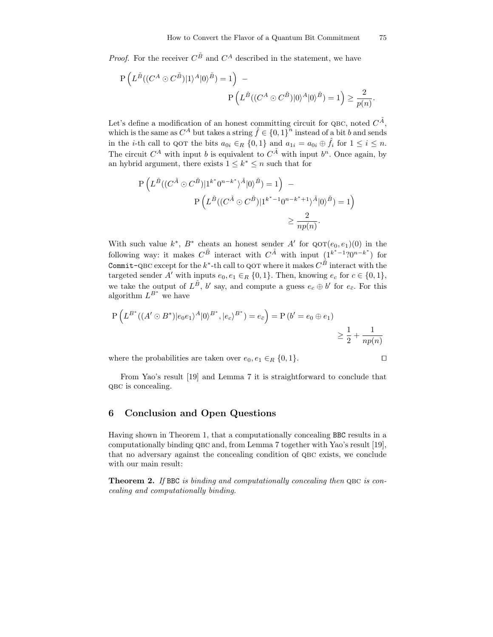*Proof.* For the receiver  $C^{\tilde{B}}$  and  $C^A$  described in the statement, we have

$$
P\left(L^{\tilde{B}}((C^A \odot C^{\tilde{B}})|1\rangle^A|0\rangle^{\tilde{B}}) = 1\right) -
$$
  
 
$$
P\left(L^{\tilde{B}}((C^A \odot C^{\tilde{B}})|0\rangle^A|0\rangle^{\tilde{B}}) = 1\right) \ge \frac{2}{p(n)}.
$$

Let's define a modification of an honest committing circuit for QBC, noted  $C^{\tilde{A}}$ , which is the same as  $C^A$  but takes a string  $\hat{f} \in \{0,1\}^n$  instead of a bit b and sends in the *i*-th call to QOT the bits  $a_{0i} \in_R \{0,1\}$  and  $a_{1i} = a_{0i} \oplus \hat{f}_i$  for  $1 \leq i \leq n$ . The circuit  $C^A$  with input b is equivalent to  $C^{\tilde{A}}$  with input  $b^n$ . Once again, by an hybrid argument, there exists  $1 \leq k^* \leq n$  such that for

$$
P\left(L^{\tilde{B}}((C^{\tilde{A}} \odot C^{\tilde{B}})|1^{k^*}0^{n-k^*})^{\tilde{A}}|0\rangle^{\tilde{B}}\right) = 1\right) - P\left(L^{\tilde{B}}((C^{\tilde{A}} \odot C^{\tilde{B}})|1^{k^*-1}0^{n-k^*+1})^{\tilde{A}}|0\rangle^{\tilde{B}}\right) = 1\right) \ge \frac{2}{np(n)}.
$$

With such value  $k^*$ ,  $B^*$  cheats an honest sender A' for  $QOT(e_0, e_1)(0)$  in the following way: it makes  $C^{\tilde{B}}$  interact with  $C^{\tilde{A}}$  with input  $(1^{k^*-1}$ ?0<sup>n-k\*</sup>) for Commit-QBC except for the  $k^*$ -th call to QOT where it makes  $C^{\tilde{B}}$  interact with the targeted sender A' with inputs  $e_0, e_1 \in_R \{0, 1\}$ . Then, knowing  $e_c$  for  $c \in \{0, 1\}$ , we take the output of  $L^{\tilde{B}}$ , b' say, and compute a guess  $e_c \oplus b'$  for  $e_{\bar{c}}$ . For this algorithm  $L^{B^*}$  we have

$$
P\left(L^{B^*}((A'\odot B^*)|e_0e_1)^A|0\rangle^{B^*}, |e_c\rangle^{B^*}\right) = e_{\bar{c}}\right) = P(b' = e_0 \oplus e_1)
$$
  

$$
\geq \frac{1}{2} + \frac{1}{np(n)}
$$

where the probabilities are taken over  $e_0, e_1 \in_R \{0, 1\}.$ 

$$
\qquad \qquad \Box
$$

From Yao's result [19] and Lemma 7 it is straightforward to conclude that qbc is concealing.

### 6 Conclusion and Open Questions

Having shown in Theorem 1, that a computationally concealing BBC results in a computationally binding qbc and, from Lemma 7 together with Yao's result [19], that no adversary against the concealing condition of qbc exists, we conclude with our main result:

**Theorem 2.** If BBC is binding and computationally concealing then QBC is concealing and computationally binding.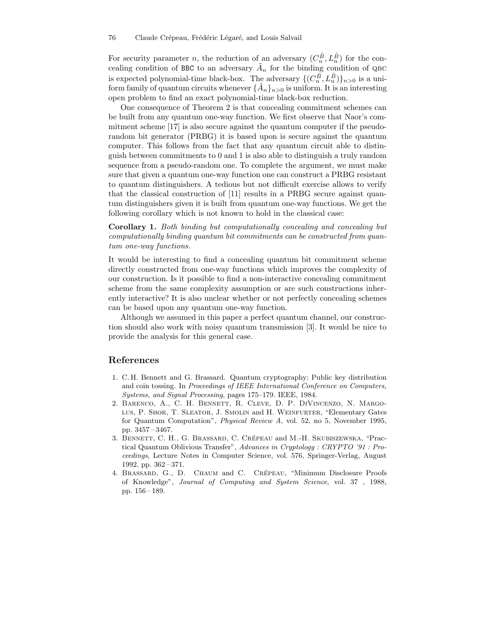For security parameter n, the reduction of an adversary  $(C_n^{\tilde{B}}, L_n^{\tilde{B}})$  for the concealing condition of BBC to an adversary  $\tilde{A}_n$  for the binding condition of QBC is expected polynomial-time black-box. The adversary  $\{ (C_n^{\tilde{B}}, L_n^{\tilde{B}}) \}_{n>0}$  is a uniform family of quantum circuits whenever  $\{\tilde{A}_n\}_{n>0}$  is uniform. It is an interesting open problem to find an exact polynomial-time black-box reduction.

One consequence of Theorem 2 is that concealing commitment schemes can be built from any quantum one-way function. We first observe that Naor's commitment scheme [17] is also secure against the quantum computer if the pseudorandom bit generator (PRBG) it is based upon is secure against the quantum computer. This follows from the fact that any quantum circuit able to distinguish between commitments to 0 and 1 is also able to distinguish a truly random sequence from a pseudo-random one. To complete the argument, we must make sure that given a quantum one-way function one can construct a PRBG resistant to quantum distinguishers. A tedious but not difficult exercise allows to verify that the classical construction of [11] results in a PRBG secure against quantum distinguishers given it is built from quantum one-way functions. We get the following corollary which is not known to hold in the classical case:

Corollary 1. Both binding but computationally concealing and concealing but computationally binding quantum bit commitments can be constructed from quantum one-way functions.

It would be interesting to find a concealing quantum bit commitment scheme directly constructed from one-way functions which improves the complexity of our construction. Is it possible to find a non-interactive concealing commitment scheme from the same complexity assumption or are such constructions inherently interactive? It is also unclear whether or not perfectly concealing schemes can be based upon any quantum one-way function.

Although we assumed in this paper a perfect quantum channel, our construction should also work with noisy quantum transmission [3]. It would be nice to provide the analysis for this general case.

### References

- 1. C. H. Bennett and G. Brassard. Quantum cryptography: Public key distribution and coin tossing. In Proceedings of IEEE International Conference on Computers, Systems, and Signal Processing, pages 175–179. IEEE, 1984.
- 2. Barenco, A., C. H. Bennett, R. Cleve, D. P. DiVincenzo, N. Margolus, P. Shor, T. Sleator, J. Smolin and H. Weinfurter, "Elementary Gates for Quantum Computation", Physical Review A, vol. 52, no 5, November 1995, pp. 3457 – 3467.
- 3. BENNETT, C. H., G. BRASSARD, C. CRÉPEAU and M.-H. SKUBISZEWSKA, "Practical Quantum Oblivious Transfer", Advances in Cryptology : CRYPTO '91 : Proceedings, Lecture Notes in Computer Science, vol. 576, Springer-Verlag, August 1992, pp. 362 – 371.
- 4. BRASSARD, G., D. CHAUM and C. CRÉPEAU, "Minimum Disclosure Proofs of Knowledge", Journal of Computing and System Science, vol. 37 , 1988, pp. 156 – 189.